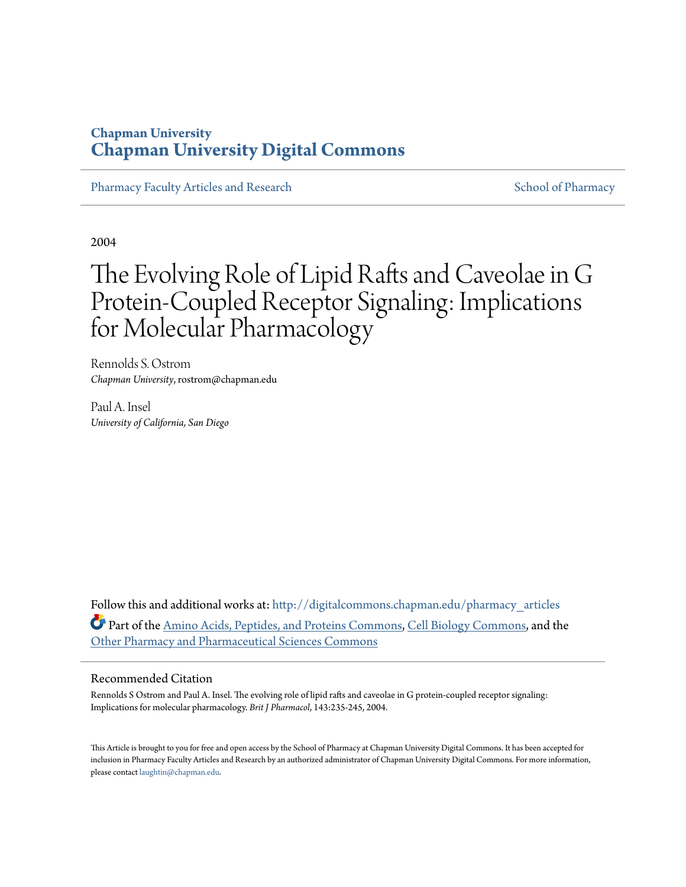### **Chapman University [Chapman University Digital Commons](http://digitalcommons.chapman.edu?utm_source=digitalcommons.chapman.edu%2Fpharmacy_articles%2F383&utm_medium=PDF&utm_campaign=PDFCoverPages)**

[Pharmacy Faculty Articles and Research](http://digitalcommons.chapman.edu/pharmacy_articles?utm_source=digitalcommons.chapman.edu%2Fpharmacy_articles%2F383&utm_medium=PDF&utm_campaign=PDFCoverPages) [School of Pharmacy](http://digitalcommons.chapman.edu/cusp?utm_source=digitalcommons.chapman.edu%2Fpharmacy_articles%2F383&utm_medium=PDF&utm_campaign=PDFCoverPages) Faculty Articles and Research School of Pharmacy

2004

# The Evolving Role of Lipid Rafts and Caveolae in G Protein-Coupled Receptor Signaling: Implications for Molecular Pharmacology

Rennolds S. Ostrom *Chapman University*, rostrom@chapman.edu

Paul A. Insel *University of California, San Diego*

Follow this and additional works at: [http://digitalcommons.chapman.edu/pharmacy\\_articles](http://digitalcommons.chapman.edu/pharmacy_articles?utm_source=digitalcommons.chapman.edu%2Fpharmacy_articles%2F383&utm_medium=PDF&utm_campaign=PDFCoverPages) Part of the [Amino Acids, Peptides, and Proteins Commons](http://network.bepress.com/hgg/discipline/954?utm_source=digitalcommons.chapman.edu%2Fpharmacy_articles%2F383&utm_medium=PDF&utm_campaign=PDFCoverPages), [Cell Biology Commons,](http://network.bepress.com/hgg/discipline/10?utm_source=digitalcommons.chapman.edu%2Fpharmacy_articles%2F383&utm_medium=PDF&utm_campaign=PDFCoverPages) and the [Other Pharmacy and Pharmaceutical Sciences Commons](http://network.bepress.com/hgg/discipline/737?utm_source=digitalcommons.chapman.edu%2Fpharmacy_articles%2F383&utm_medium=PDF&utm_campaign=PDFCoverPages)

#### Recommended Citation

Rennolds S Ostrom and Paul A. Insel. The evolving role of lipid rafts and caveolae in G protein-coupled receptor signaling: Implications for molecular pharmacology. *Brit J Pharmacol*, 143:235-245, 2004.

This Article is brought to you for free and open access by the School of Pharmacy at Chapman University Digital Commons. It has been accepted for inclusion in Pharmacy Faculty Articles and Research by an authorized administrator of Chapman University Digital Commons. For more information, please contact [laughtin@chapman.edu.](mailto:laughtin@chapman.edu)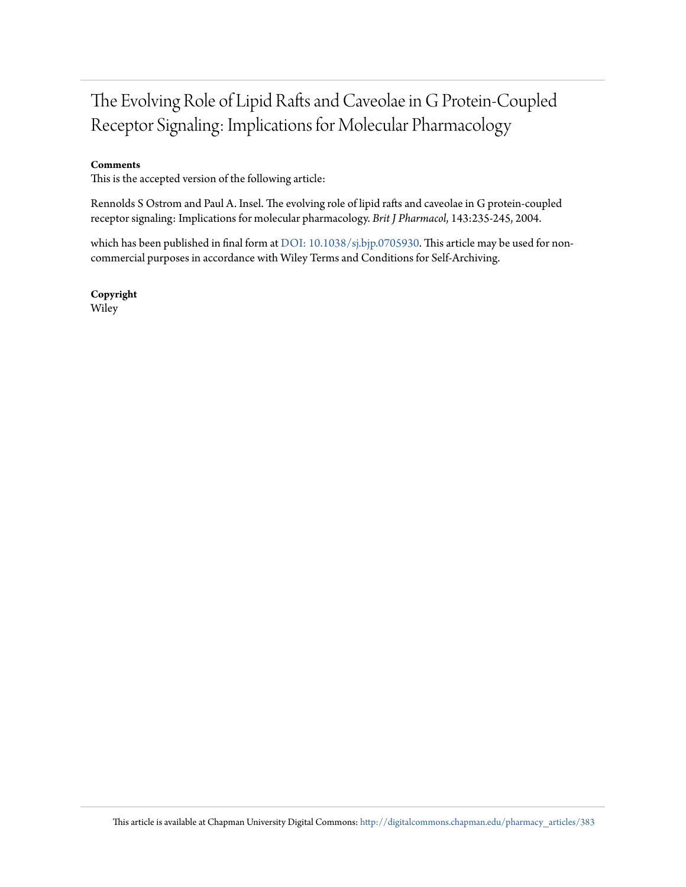## The Evolving Role of Lipid Rafts and Caveolae in G Protein-Coupled Receptor Signaling: Implications for Molecular Pharmacology

#### **Comments**

This is the accepted version of the following article:

Rennolds S Ostrom and Paul A. Insel. The evolving role of lipid rafts and caveolae in G protein-coupled receptor signaling: Implications for molecular pharmacology. *Brit J Pharmacol*, 143:235-245, 2004.

which has been published in final form at [DOI: 10.1038/sj.bjp.0705930](http://dx.doi.org/10.1038/sj.bjp.0705930). This article may be used for noncommercial purposes in accordance with Wiley Terms and Conditions for Self-Archiving.

**Copyright** Wiley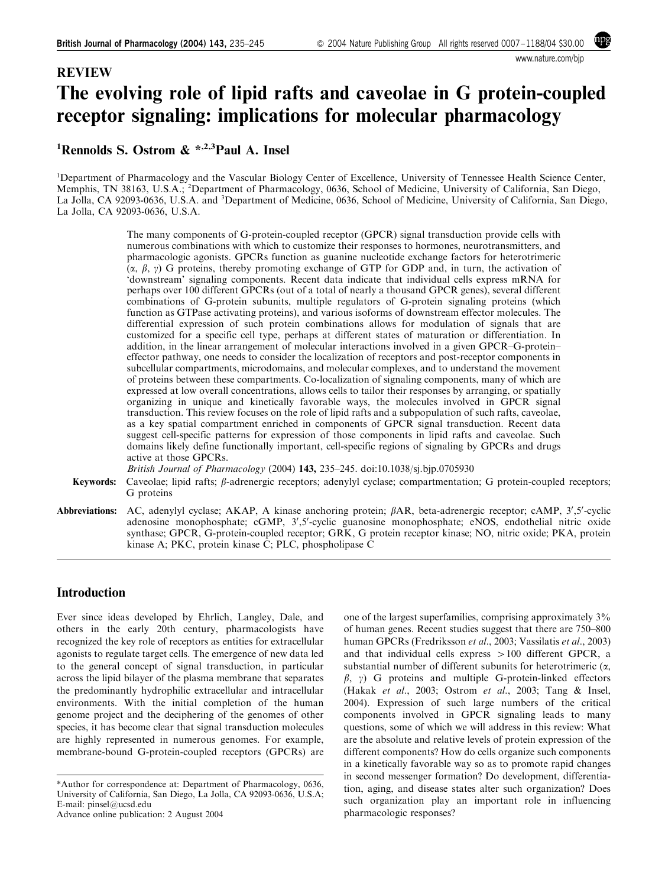www.nature.com/bjp

## REVIEW The evolving role of lipid rafts and caveolae in G protein-coupled receptor signaling: implications for molecular pharmacology

#### <sup>1</sup>Rennolds S. Ostrom & \*,2,3Paul A. Insel

1 Department of Pharmacology and the Vascular Biology Center of Excellence, University of Tennessee Health Science Center, Memphis, TN 38163, U.S.A.; <sup>2</sup>Department of Pharmacology, 0636, School of Medicine, University of California, San Diego, La Jolla, CA 92093-0636, U.S.A. and <sup>3</sup>Department of Medicine, 0636, School of Medicine, University of California, San Diego, La Jolla, CA 92093-0636, U.S.A.

> The many components of G-protein-coupled receptor (GPCR) signal transduction provide cells with numerous combinations with which to customize their responses to hormones, neurotransmitters, and pharmacologic agonists. GPCRs function as guanine nucleotide exchange factors for heterotrimeric  $(\alpha, \beta, \gamma)$  G proteins, thereby promoting exchange of GTP for GDP and, in turn, the activation of 'downstream' signaling components. Recent data indicate that individual cells express mRNA for perhaps over 100 different GPCRs (out of a total of nearly a thousand GPCR genes), several different combinations of G-protein subunits, multiple regulators of G-protein signaling proteins (which function as GTPase activating proteins), and various isoforms of downstream effector molecules. The differential expression of such protein combinations allows for modulation of signals that are customized for a specific cell type, perhaps at different states of maturation or differentiation. In addition, in the linear arrangement of molecular interactions involved in a given GPCR–G-protein– effector pathway, one needs to consider the localization of receptors and post-receptor components in subcellular compartments, microdomains, and molecular complexes, and to understand the movement of proteins between these compartments. Co-localization of signaling components, many of which are expressed at low overall concentrations, allows cells to tailor their responses by arranging, or spatially organizing in unique and kinetically favorable ways, the molecules involved in GPCR signal transduction. This review focuses on the role of lipid rafts and a subpopulation of such rafts, caveolae, as a key spatial compartment enriched in components of GPCR signal transduction. Recent data suggest cell-specific patterns for expression of those components in lipid rafts and caveolae. Such domains likely define functionally important, cell-specific regions of signaling by GPCRs and drugs active at those GPCRs.

British Journal of Pharmacology (2004) 143, 235–245. doi:10.1038/sj.bjp.0705930

- Keywords: Caveolae; lipid rafts; b-adrenergic receptors; adenylyl cyclase; compartmentation; G protein-coupled receptors; G proteins
- Abbreviations: AC, adenylyl cyclase; AKAP, A kinase anchoring protein;  $\beta$ AR, beta-adrenergic receptor; cAMP, 3',5'-cyclic adenosine monophosphate; cGMP, 3',5'-cyclic guanosine monophosphate; eNOS, endothelial nitric oxide synthase; GPCR, G-protein-coupled receptor; GRK, G protein receptor kinase; NO, nitric oxide; PKA, protein kinase A; PKC, protein kinase C; PLC, phospholipase C

#### Introduction

Ever since ideas developed by Ehrlich, Langley, Dale, and others in the early 20th century, pharmacologists have recognized the key role of receptors as entities for extracellular agonists to regulate target cells. The emergence of new data led to the general concept of signal transduction, in particular across the lipid bilayer of the plasma membrane that separates the predominantly hydrophilic extracellular and intracellular environments. With the initial completion of the human genome project and the deciphering of the genomes of other species, it has become clear that signal transduction molecules are highly represented in numerous genomes. For example, membrane-bound G-protein-coupled receptors (GPCRs) are

Advance online publication: 2 August 2004

one of the largest superfamilies, comprising approximately 3% of human genes. Recent studies suggest that there are 750–800 human GPCRs (Fredriksson et al., 2003; Vassilatis et al., 2003) and that individual cells express  $>100$  different GPCR, a substantial number of different subunits for heterotrimeric  $(\alpha, \beta)$  $\beta$ ,  $\gamma$ ) G proteins and multiple G-protein-linked effectors (Hakak et al., 2003; Ostrom et al., 2003; Tang & Insel, 2004). Expression of such large numbers of the critical components involved in GPCR signaling leads to many questions, some of which we will address in this review: What are the absolute and relative levels of protein expression of the different components? How do cells organize such components in a kinetically favorable way so as to promote rapid changes in second messenger formation? Do development, differentiation, aging, and disease states alter such organization? Does such organization play an important role in influencing pharmacologic responses?



<sup>\*</sup>Author for correspondence at: Department of Pharmacology, 0636, University of California, San Diego, La Jolla, CA 92093-0636, U.S.A; E-mail: pinsel@ucsd.edu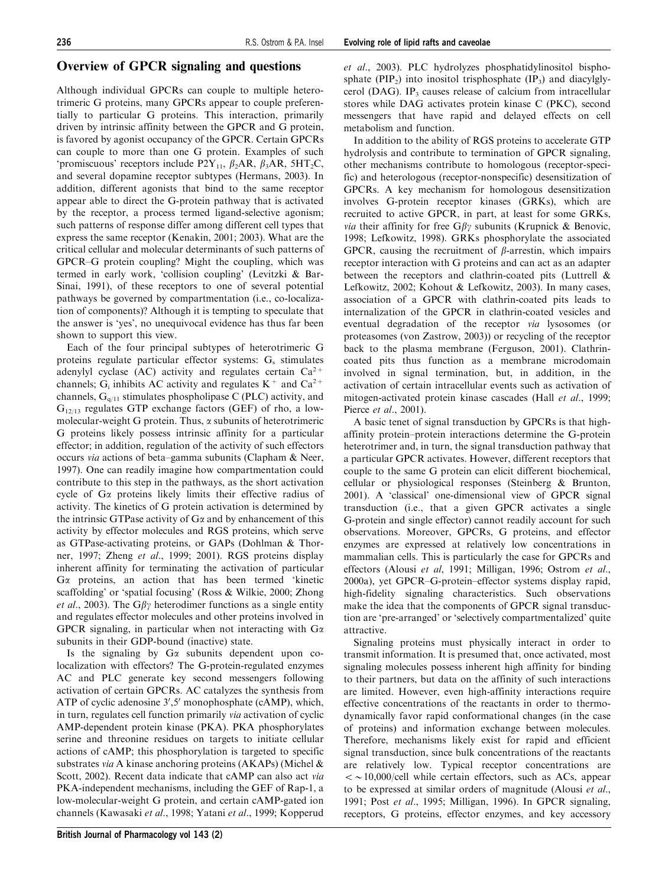#### Overview of GPCR signaling and questions

Although individual GPCRs can couple to multiple heterotrimeric G proteins, many GPCRs appear to couple preferentially to particular G proteins. This interaction, primarily driven by intrinsic affinity between the GPCR and G protein, is favored by agonist occupancy of the GPCR. Certain GPCRs can couple to more than one G protein. Examples of such 'promiscuous' receptors include P2Y<sub>11</sub>,  $\beta_2AR$ ,  $\beta_3AR$ , 5HT<sub>2</sub>C, and several dopamine receptor subtypes (Hermans, 2003). In addition, different agonists that bind to the same receptor appear able to direct the G-protein pathway that is activated by the receptor, a process termed ligand-selective agonism; such patterns of response differ among different cell types that express the same receptor (Kenakin, 2001; 2003). What are the critical cellular and molecular determinants of such patterns of GPCR–G protein coupling? Might the coupling, which was termed in early work, 'collision coupling' (Levitzki & Bar-Sinai, 1991), of these receptors to one of several potential pathways be governed by compartmentation (i.e., co-localization of components)? Although it is tempting to speculate that the answer is 'yes', no unequivocal evidence has thus far been shown to support this view.

Each of the four principal subtypes of heterotrimeric G proteins regulate particular effector systems:  $G_s$  stimulates adenylyl cyclase (AC) activity and regulates certain  $Ca^{2+}$ channels; G<sub>i</sub> inhibits AC activity and regulates  $K^+$  and Ca<sup>2+</sup> channels,  $G<sub>q/11</sub>$  stimulates phospholipase C (PLC) activity, and  $G_{12/13}$  regulates GTP exchange factors (GEF) of rho, a lowmolecular-weight G protein. Thus,  $\alpha$  subunits of heterotrimeric G proteins likely possess intrinsic affinity for a particular effector; in addition, regulation of the activity of such effectors occurs via actions of beta–gamma subunits (Clapham & Neer, 1997). One can readily imagine how compartmentation could contribute to this step in the pathways, as the short activation cycle of Ga proteins likely limits their effective radius of activity. The kinetics of G protein activation is determined by the intrinsic GTPase activity of  $G\alpha$  and by enhancement of this activity by effector molecules and RGS proteins, which serve as GTPase-activating proteins, or GAPs (Dohlman & Thorner, 1997; Zheng et al., 1999; 2001). RGS proteins display inherent affinity for terminating the activation of particular Ga proteins, an action that has been termed 'kinetic scaffolding' or 'spatial focusing' (Ross & Wilkie, 2000; Zhong et al., 2003). The G $\beta\gamma$  heterodimer functions as a single entity and regulates effector molecules and other proteins involved in GPCR signaling, in particular when not interacting with  $G\alpha$ subunits in their GDP-bound (inactive) state.

Is the signaling by  $G\alpha$  subunits dependent upon colocalization with effectors? The G-protein-regulated enzymes AC and PLC generate key second messengers following activation of certain GPCRs. AC catalyzes the synthesis from ATP of cyclic adenosine 3',5' monophosphate (cAMP), which, in turn, regulates cell function primarily via activation of cyclic AMP-dependent protein kinase (PKA). PKA phosphorylates serine and threonine residues on targets to initiate cellular actions of cAMP; this phosphorylation is targeted to specific substrates via A kinase anchoring proteins (AKAPs) (Michel & Scott, 2002). Recent data indicate that cAMP can also act via PKA-independent mechanisms, including the GEF of Rap-1, a low-molecular-weight G protein, and certain cAMP-gated ion channels (Kawasaki et al., 1998; Yatani et al., 1999; Kopperud

et al., 2003). PLC hydrolyzes phosphatidylinositol bisphosphate (PIP<sub>2</sub>) into inositol trisphosphate  $(\text{IP}_3)$  and diacylglycerol (DAG). IP<sub>3</sub> causes release of calcium from intracellular stores while DAG activates protein kinase C (PKC), second messengers that have rapid and delayed effects on cell metabolism and function.

In addition to the ability of RGS proteins to accelerate GTP hydrolysis and contribute to termination of GPCR signaling, other mechanisms contribute to homologous (receptor-specific) and heterologous (receptor-nonspecific) desensitization of GPCRs. A key mechanism for homologous desensitization involves G-protein receptor kinases (GRKs), which are recruited to active GPCR, in part, at least for some GRKs, via their affinity for free  $G\beta\gamma$  subunits (Krupnick & Benovic, 1998; Lefkowitz, 1998). GRKs phosphorylate the associated GPCR, causing the recruitment of  $\beta$ -arrestin, which impairs receptor interaction with G proteins and can act as an adapter between the receptors and clathrin-coated pits (Luttrell & Lefkowitz, 2002; Kohout & Lefkowitz, 2003). In many cases, association of a GPCR with clathrin-coated pits leads to internalization of the GPCR in clathrin-coated vesicles and eventual degradation of the receptor via lysosomes (or proteasomes (von Zastrow, 2003)) or recycling of the receptor back to the plasma membrane (Ferguson, 2001). Clathrincoated pits thus function as a membrane microdomain involved in signal termination, but, in addition, in the activation of certain intracellular events such as activation of mitogen-activated protein kinase cascades (Hall et al., 1999; Pierce et al., 2001).

A basic tenet of signal transduction by GPCRs is that highaffinity protein–protein interactions determine the G-protein heterotrimer and, in turn, the signal transduction pathway that a particular GPCR activates. However, different receptors that couple to the same G protein can elicit different biochemical, cellular or physiological responses (Steinberg & Brunton, 2001). A 'classical' one-dimensional view of GPCR signal transduction (i.e., that a given GPCR activates a single G-protein and single effector) cannot readily account for such observations. Moreover, GPCRs, G proteins, and effector enzymes are expressed at relatively low concentrations in mammalian cells. This is particularly the case for GPCRs and effectors (Alousi et al, 1991; Milligan, 1996; Ostrom et al., 2000a), yet GPCR–G-protein–effector systems display rapid, high-fidelity signaling characteristics. Such observations make the idea that the components of GPCR signal transduction are 'pre-arranged' or 'selectively compartmentalized' quite attractive.

Signaling proteins must physically interact in order to transmit information. It is presumed that, once activated, most signaling molecules possess inherent high affinity for binding to their partners, but data on the affinity of such interactions are limited. However, even high-affinity interactions require effective concentrations of the reactants in order to thermodynamically favor rapid conformational changes (in the case of proteins) and information exchange between molecules. Therefore, mechanisms likely exist for rapid and efficient signal transduction, since bulk concentrations of the reactants are relatively low. Typical receptor concentrations are  $\alpha \sim 10,000/c$ ell while certain effectors, such as ACs, appear to be expressed at similar orders of magnitude (Alousi et al., 1991; Post et al., 1995; Milligan, 1996). In GPCR signaling, receptors, G proteins, effector enzymes, and key accessory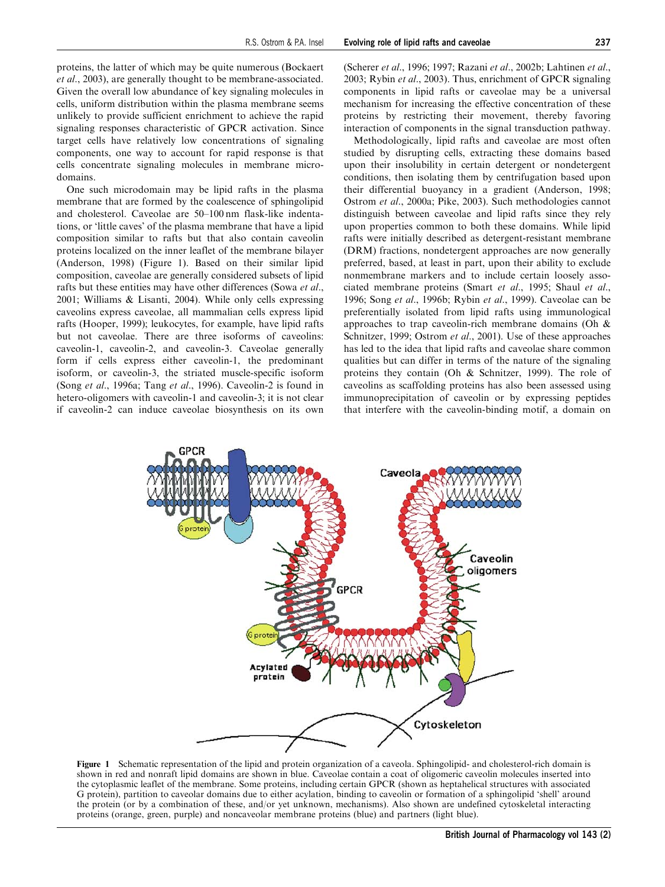proteins, the latter of which may be quite numerous (Bockaert et al., 2003), are generally thought to be membrane-associated. Given the overall low abundance of key signaling molecules in cells, uniform distribution within the plasma membrane seems unlikely to provide sufficient enrichment to achieve the rapid signaling responses characteristic of GPCR activation. Since target cells have relatively low concentrations of signaling components, one way to account for rapid response is that cells concentrate signaling molecules in membrane microdomains.

One such microdomain may be lipid rafts in the plasma membrane that are formed by the coalescence of sphingolipid and cholesterol. Caveolae are 50–100 nm flask-like indentations, or 'little caves' of the plasma membrane that have a lipid composition similar to rafts but that also contain caveolin proteins localized on the inner leaflet of the membrane bilayer (Anderson, 1998) (Figure 1). Based on their similar lipid composition, caveolae are generally considered subsets of lipid rafts but these entities may have other differences (Sowa et al., 2001; Williams & Lisanti, 2004). While only cells expressing caveolins express caveolae, all mammalian cells express lipid rafts (Hooper, 1999); leukocytes, for example, have lipid rafts but not caveolae. There are three isoforms of caveolins: caveolin-1, caveolin-2, and caveolin-3. Caveolae generally form if cells express either caveolin-1, the predominant isoform, or caveolin-3, the striated muscle-specific isoform (Song et al., 1996a; Tang et al., 1996). Caveolin-2 is found in hetero-oligomers with caveolin-1 and caveolin-3; it is not clear if caveolin-2 can induce caveolae biosynthesis on its own (Scherer et al., 1996; 1997; Razani et al., 2002b; Lahtinen et al., 2003; Rybin et al., 2003). Thus, enrichment of GPCR signaling components in lipid rafts or caveolae may be a universal mechanism for increasing the effective concentration of these proteins by restricting their movement, thereby favoring interaction of components in the signal transduction pathway.

Methodologically, lipid rafts and caveolae are most often studied by disrupting cells, extracting these domains based upon their insolubility in certain detergent or nondetergent conditions, then isolating them by centrifugation based upon their differential buoyancy in a gradient (Anderson, 1998; Ostrom et al., 2000a; Pike, 2003). Such methodologies cannot distinguish between caveolae and lipid rafts since they rely upon properties common to both these domains. While lipid rafts were initially described as detergent-resistant membrane (DRM) fractions, nondetergent approaches are now generally preferred, based, at least in part, upon their ability to exclude nonmembrane markers and to include certain loosely associated membrane proteins (Smart et al., 1995; Shaul et al., 1996; Song et al., 1996b; Rybin et al., 1999). Caveolae can be preferentially isolated from lipid rafts using immunological approaches to trap caveolin-rich membrane domains (Oh & Schnitzer, 1999; Ostrom et al., 2001). Use of these approaches has led to the idea that lipid rafts and caveolae share common qualities but can differ in terms of the nature of the signaling proteins they contain (Oh & Schnitzer, 1999). The role of caveolins as scaffolding proteins has also been assessed using immunoprecipitation of caveolin or by expressing peptides that interfere with the caveolin-binding motif, a domain on



Figure 1 Schematic representation of the lipid and protein organization of a caveola. Sphingolipid- and cholesterol-rich domain is shown in red and nonraft lipid domains are shown in blue. Caveolae contain a coat of oligomeric caveolin molecules inserted into the cytoplasmic leaflet of the membrane. Some proteins, including certain GPCR (shown as heptahelical structures with associated G protein), partition to caveolar domains due to either acylation, binding to caveolin or formation of a sphingolipid 'shell' around the protein (or by a combination of these, and/or yet unknown, mechanisms). Also shown are undefined cytoskeletal interacting proteins (orange, green, purple) and noncaveolar membrane proteins (blue) and partners (light blue).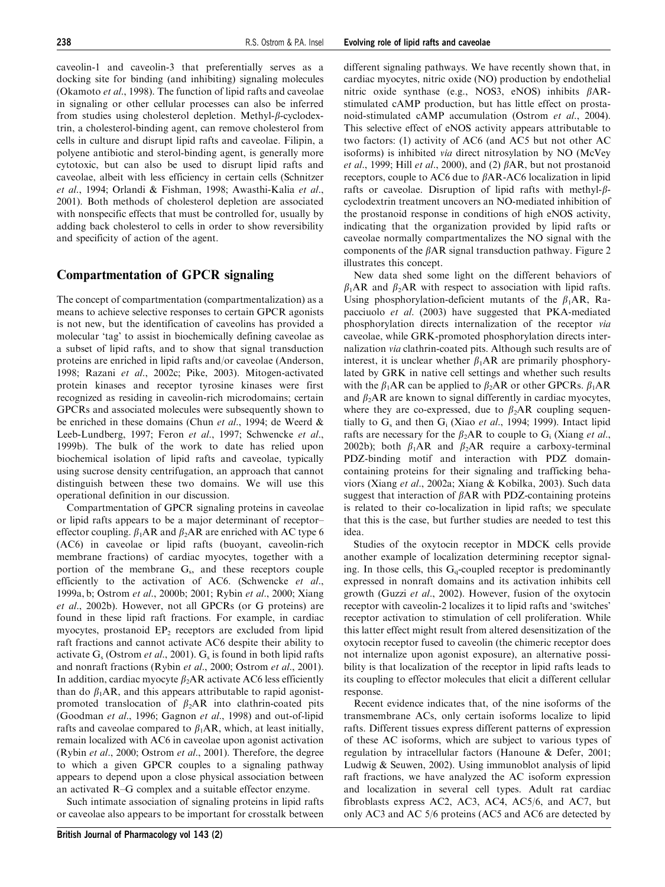caveolin-1 and caveolin-3 that preferentially serves as a docking site for binding (and inhibiting) signaling molecules (Okamoto et al., 1998). The function of lipid rafts and caveolae in signaling or other cellular processes can also be inferred from studies using cholesterol depletion. Methyl- $\beta$ -cyclodextrin, a cholesterol-binding agent, can remove cholesterol from cells in culture and disrupt lipid rafts and caveolae. Filipin, a polyene antibiotic and sterol-binding agent, is generally more cytotoxic, but can also be used to disrupt lipid rafts and caveolae, albeit with less efficiency in certain cells (Schnitzer et al., 1994; Orlandi & Fishman, 1998; Awasthi-Kalia et al., 2001). Both methods of cholesterol depletion are associated with nonspecific effects that must be controlled for, usually by adding back cholesterol to cells in order to show reversibility and specificity of action of the agent.

#### Compartmentation of GPCR signaling

The concept of compartmentation (compartmentalization) as a means to achieve selective responses to certain GPCR agonists is not new, but the identification of caveolins has provided a molecular 'tag' to assist in biochemically defining caveolae as a subset of lipid rafts, and to show that signal transduction proteins are enriched in lipid rafts and/or caveolae (Anderson, 1998; Razani et al., 2002c; Pike, 2003). Mitogen-activated protein kinases and receptor tyrosine kinases were first recognized as residing in caveolin-rich microdomains; certain GPCRs and associated molecules were subsequently shown to be enriched in these domains (Chun et al., 1994; de Weerd & Leeb-Lundberg, 1997; Feron et al., 1997; Schwencke et al., 1999b). The bulk of the work to date has relied upon biochemical isolation of lipid rafts and caveolae, typically using sucrose density centrifugation, an approach that cannot distinguish between these two domains. We will use this operational definition in our discussion.

Compartmentation of GPCR signaling proteins in caveolae or lipid rafts appears to be a major determinant of receptor– effector coupling.  $\beta_1AR$  and  $\beta_2AR$  are enriched with AC type 6 (AC6) in caveolae or lipid rafts (buoyant, caveolin-rich membrane fractions) of cardiac myocytes, together with a portion of the membrane  $G_s$ , and these receptors couple efficiently to the activation of AC6. (Schwencke et al., 1999a, b; Ostrom et al., 2000b; 2001; Rybin et al., 2000; Xiang et al., 2002b). However, not all GPCRs (or G proteins) are found in these lipid raft fractions. For example, in cardiac myocytes, prostanoid  $EP_2$  receptors are excluded from lipid raft fractions and cannot activate AC6 despite their ability to activate  $G_s$  (Ostrom *et al.*, 2001).  $G_s$  is found in both lipid rafts and nonraft fractions (Rybin et al., 2000; Ostrom et al., 2001). In addition, cardiac myocyte  $\beta_2$ AR activate AC6 less efficiently than do  $\beta_1AR$ , and this appears attributable to rapid agonistpromoted translocation of  $\beta_2$ AR into clathrin-coated pits (Goodman et al., 1996; Gagnon et al., 1998) and out-of-lipid rafts and caveolae compared to  $\beta_1AR$ , which, at least initially, remain localized with AC6 in caveolae upon agonist activation (Rybin et al., 2000; Ostrom et al., 2001). Therefore, the degree to which a given GPCR couples to a signaling pathway appears to depend upon a close physical association between an activated R–G complex and a suitable effector enzyme.

Such intimate association of signaling proteins in lipid rafts or caveolae also appears to be important for crosstalk between different signaling pathways. We have recently shown that, in cardiac myocytes, nitric oxide (NO) production by endothelial nitric oxide synthase (e.g., NOS3, eNOS) inhibits  $\beta$ ARstimulated cAMP production, but has little effect on prostanoid-stimulated cAMP accumulation (Ostrom et al., 2004). This selective effect of eNOS activity appears attributable to two factors: (1) activity of AC6 (and AC5 but not other AC isoforms) is inhibited via direct nitrosylation by NO (McVey et al., 1999; Hill et al., 2000), and (2)  $\beta$ AR, but not prostanoid receptors, couple to AC6 due to  $\beta$ AR-AC6 localization in lipid rafts or caveolae. Disruption of lipid rafts with methyl- $\beta$ cyclodextrin treatment uncovers an NO-mediated inhibition of the prostanoid response in conditions of high eNOS activity, indicating that the organization provided by lipid rafts or caveolae normally compartmentalizes the NO signal with the components of the  $\beta$ AR signal transduction pathway. Figure 2 illustrates this concept.

New data shed some light on the different behaviors of  $\beta_1$ AR and  $\beta_2$ AR with respect to association with lipid rafts. Using phosphorylation-deficient mutants of the  $\beta_1 AR$ , Rapacciuolo et al. (2003) have suggested that PKA-mediated phosphorylation directs internalization of the receptor via caveolae, while GRK-promoted phosphorylation directs internalization via clathrin-coated pits. Although such results are of interest, it is unclear whether  $\beta_1AR$  are primarily phosphorylated by GRK in native cell settings and whether such results with the  $\beta_1$ AR can be applied to  $\beta_2$ AR or other GPCRs.  $\beta_1$ AR and  $\beta_2$ AR are known to signal differently in cardiac myocytes, where they are co-expressed, due to  $\beta_2AR$  coupling sequentially to  $G_s$  and then  $G_i$  (Xiao *et al.*, 1994; 1999). Intact lipid rafts are necessary for the  $\beta_2AR$  to couple to G<sub>i</sub> (Xiang *et al.*, 2002b); both  $\beta_1AR$  and  $\beta_2AR$  require a carboxy-terminal PDZ-binding motif and interaction with PDZ domaincontaining proteins for their signaling and trafficking behaviors (Xiang et al., 2002a; Xiang & Kobilka, 2003). Such data suggest that interaction of  $\beta$ AR with PDZ-containing proteins is related to their co-localization in lipid rafts; we speculate that this is the case, but further studies are needed to test this idea.

Studies of the oxytocin receptor in MDCK cells provide another example of localization determining receptor signaling. In those cells, this  $G_q$ -coupled receptor is predominantly expressed in nonraft domains and its activation inhibits cell growth (Guzzi et al., 2002). However, fusion of the oxytocin receptor with caveolin-2 localizes it to lipid rafts and 'switches' receptor activation to stimulation of cell proliferation. While this latter effect might result from altered desensitization of the oxytocin receptor fused to caveolin (the chimeric receptor does not internalize upon agonist exposure), an alternative possibility is that localization of the receptor in lipid rafts leads to its coupling to effector molecules that elicit a different cellular response.

Recent evidence indicates that, of the nine isoforms of the transmembrane ACs, only certain isoforms localize to lipid rafts. Different tissues express different patterns of expression of these AC isoforms, which are subject to various types of regulation by intracellular factors (Hanoune & Defer, 2001; Ludwig & Seuwen, 2002). Using immunoblot analysis of lipid raft fractions, we have analyzed the AC isoform expression and localization in several cell types. Adult rat cardiac fibroblasts express AC2, AC3, AC4, AC5/6, and AC7, but only AC3 and AC 5/6 proteins (AC5 and AC6 are detected by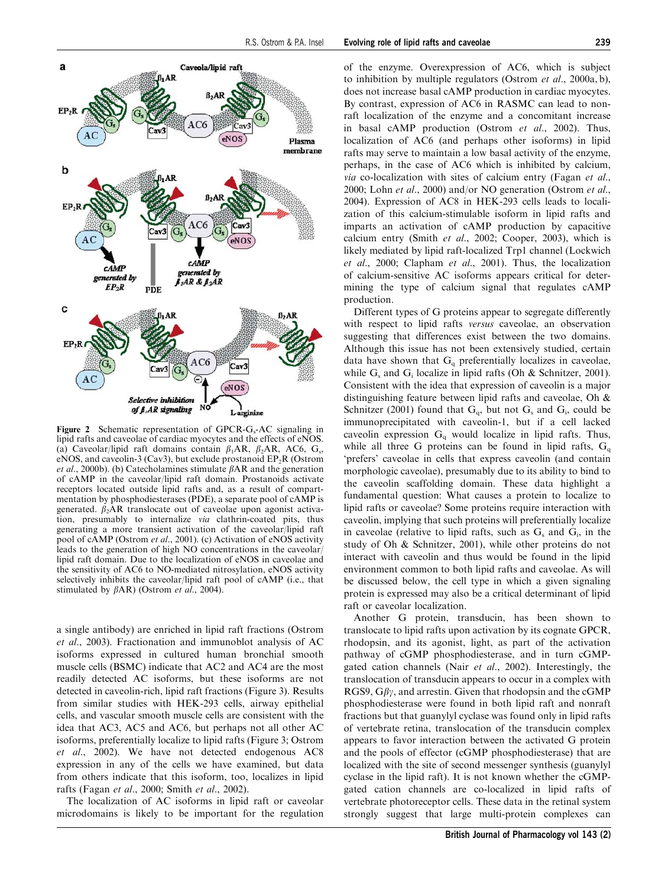

Figure 2 Schematic representation of GPCR-G<sub>s</sub>-AC signaling in lipid rafts and caveolae of cardiac myocytes and the effects of eNOS. (a) Caveolar/lipid raft domains contain  $\beta_1AR$ ,  $\beta_2AR$ , AC6, G<sub>s</sub>, eNOS, and caveolin-3 (Cav3), but exclude prostanoid  $EP_2R$  (Ostrom et al., 2000b). (b) Catecholamines stimulate  $\beta$ AR and the generation of cAMP in the caveolar/lipid raft domain. Prostanoids activate receptors located outside lipid rafts and, as a result of compartmentation by phosphodiesterases (PDE), a separate pool of cAMP is generated.  $\beta_2$ AR translocate out of caveolae upon agonist activation, presumably to internalize via clathrin-coated pits, thus generating a more transient activation of the caveolar/lipid raft pool of cAMP (Ostrom et al., 2001). (c) Activation of eNOS activity leads to the generation of high NO concentrations in the caveolar/ lipid raft domain. Due to the localization of eNOS in caveolae and the sensitivity of AC6 to NO-mediated nitrosylation, eNOS activity selectively inhibits the caveolar/lipid raft pool of cAMP (i.e., that stimulated by  $\beta$ AR) (Ostrom *et al.*, 2004).

a single antibody) are enriched in lipid raft fractions (Ostrom et al., 2003). Fractionation and immunoblot analysis of AC isoforms expressed in cultured human bronchial smooth muscle cells (BSMC) indicate that AC2 and AC4 are the most readily detected AC isoforms, but these isoforms are not detected in caveolin-rich, lipid raft fractions (Figure 3). Results from similar studies with HEK-293 cells, airway epithelial cells, and vascular smooth muscle cells are consistent with the idea that AC3, AC5 and AC6, but perhaps not all other AC isoforms, preferentially localize to lipid rafts (Figure 3; Ostrom et al., 2002). We have not detected endogenous AC8 expression in any of the cells we have examined, but data from others indicate that this isoform, too, localizes in lipid rafts (Fagan et al., 2000; Smith et al., 2002).

The localization of AC isoforms in lipid raft or caveolar microdomains is likely to be important for the regulation of the enzyme. Overexpression of AC6, which is subject to inhibition by multiple regulators (Ostrom et al., 2000a, b), does not increase basal cAMP production in cardiac myocytes. By contrast, expression of AC6 in RASMC can lead to nonraft localization of the enzyme and a concomitant increase in basal cAMP production (Ostrom et al., 2002). Thus, localization of AC6 (and perhaps other isoforms) in lipid rafts may serve to maintain a low basal activity of the enzyme, perhaps, in the case of AC6 which is inhibited by calcium, via co-localization with sites of calcium entry (Fagan et al., 2000; Lohn et al., 2000) and/or NO generation (Ostrom et al., 2004). Expression of AC8 in HEK-293 cells leads to localization of this calcium-stimulable isoform in lipid rafts and imparts an activation of cAMP production by capacitive calcium entry (Smith et al., 2002; Cooper, 2003), which is likely mediated by lipid raft-localized Trp1 channel (Lockwich et al., 2000; Clapham et al., 2001). Thus, the localization of calcium-sensitive AC isoforms appears critical for determining the type of calcium signal that regulates cAMP production.

Different types of G proteins appear to segregate differently with respect to lipid rafts *versus* caveolae, an observation suggesting that differences exist between the two domains. Although this issue has not been extensively studied, certain data have shown that  $G_q$  preferentially localizes in caveolae, while  $G_s$  and  $G_i$  localize in lipid rafts (Oh & Schnitzer, 2001). Consistent with the idea that expression of caveolin is a major distinguishing feature between lipid rafts and caveolae, Oh & Schnitzer (2001) found that  $G_q$ , but not  $G_s$  and  $G_i$ , could be immunoprecipitated with caveolin-1, but if a cell lacked caveolin expression  $G_q$  would localize in lipid rafts. Thus, while all three G proteins can be found in lipid rafts,  $G_q$ 'prefers' caveolae in cells that express caveolin (and contain morphologic caveolae), presumably due to its ability to bind to the caveolin scaffolding domain. These data highlight a fundamental question: What causes a protein to localize to lipid rafts or caveolae? Some proteins require interaction with caveolin, implying that such proteins will preferentially localize in caveolae (relative to lipid rafts, such as  $G_s$  and  $G_i$ , in the study of Oh & Schnitzer, 2001), while other proteins do not interact with caveolin and thus would be found in the lipid environment common to both lipid rafts and caveolae. As will be discussed below, the cell type in which a given signaling protein is expressed may also be a critical determinant of lipid raft or caveolar localization.

Another G protein, transducin, has been shown to translocate to lipid rafts upon activation by its cognate GPCR, rhodopsin, and its agonist, light, as part of the activation pathway of cGMP phosphodiesterase, and in turn cGMPgated cation channels (Nair et al., 2002). Interestingly, the translocation of transducin appears to occur in a complex with RGS9,  $G\beta\gamma$ , and arrestin. Given that rhodopsin and the cGMP phosphodiesterase were found in both lipid raft and nonraft fractions but that guanylyl cyclase was found only in lipid rafts of vertebrate retina, translocation of the transducin complex appears to favor interaction between the activated G protein and the pools of effector (cGMP phosphodiesterase) that are localized with the site of second messenger synthesis (guanylyl cyclase in the lipid raft). It is not known whether the cGMPgated cation channels are co-localized in lipid rafts of vertebrate photoreceptor cells. These data in the retinal system strongly suggest that large multi-protein complexes can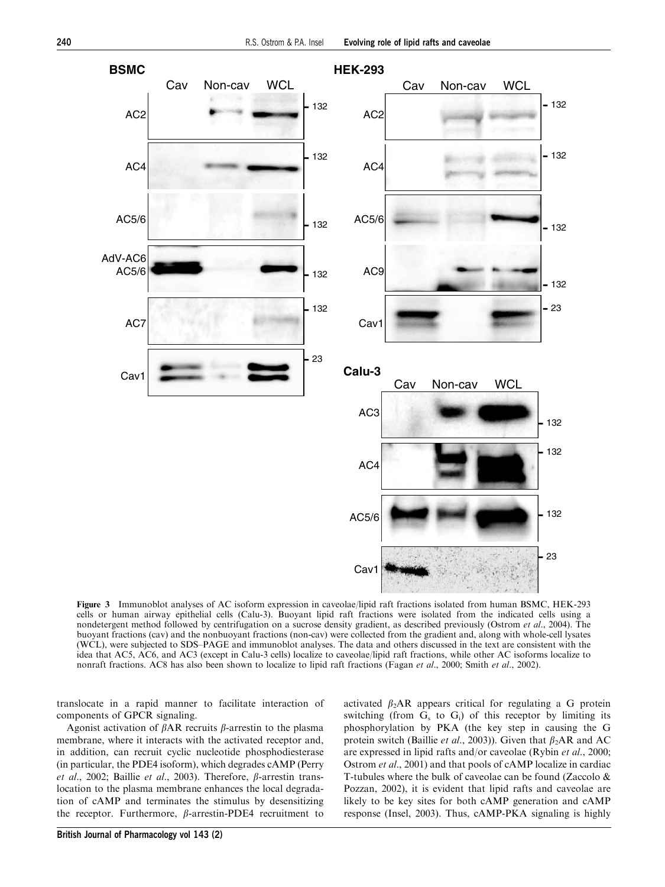

Figure 3 Immunoblot analyses of AC isoform expression in caveolae/lipid raft fractions isolated from human BSMC, HEK-293 cells or human airway epithelial cells (Calu-3). Buoyant lipid raft fractions were isolated from the indicated cells using a nondetergent method followed by centrifugation on a sucrose density gradient, as described previously (Ostrom et al., 2004). The buoyant fractions (cav) and the nonbuoyant fractions (non-cav) were collected from the gradient and, along with whole-cell lysates (WCL), were subjected to SDS–PAGE and immunoblot analyses. The data and others discussed in the text are consistent with the idea that AC5, AC6, and AC3 (except in Calu-3 cells) localize to caveolae/lipid raft fractions, while other AC isoforms localize to nonraft fractions. AC8 has also been shown to localize to lipid raft fractions (Fagan et al., 2000; Smith et al., 2002).

translocate in a rapid manner to facilitate interaction of components of GPCR signaling.

Agonist activation of  $\beta$ AR recruits  $\beta$ -arrestin to the plasma membrane, where it interacts with the activated receptor and, in addition, can recruit cyclic nucleotide phosphodiesterase (in particular, the PDE4 isoform), which degrades cAMP (Perry et al., 2002; Baillie et al., 2003). Therefore,  $\beta$ -arrestin translocation to the plasma membrane enhances the local degradation of cAMP and terminates the stimulus by desensitizing the receptor. Furthermore,  $\beta$ -arrestin-PDE4 recruitment to

activated  $\beta_2$ AR appears critical for regulating a G protein switching (from  $G_s$  to  $G_i$ ) of this receptor by limiting its phosphorylation by PKA (the key step in causing the G protein switch (Baillie et al., 2003)). Given that  $\beta_2$ AR and AC are expressed in lipid rafts and/or caveolae (Rybin et al., 2000; Ostrom et al., 2001) and that pools of cAMP localize in cardiac T-tubules where the bulk of caveolae can be found (Zaccolo & Pozzan, 2002), it is evident that lipid rafts and caveolae are likely to be key sites for both cAMP generation and cAMP response (Insel, 2003). Thus, cAMP-PKA signaling is highly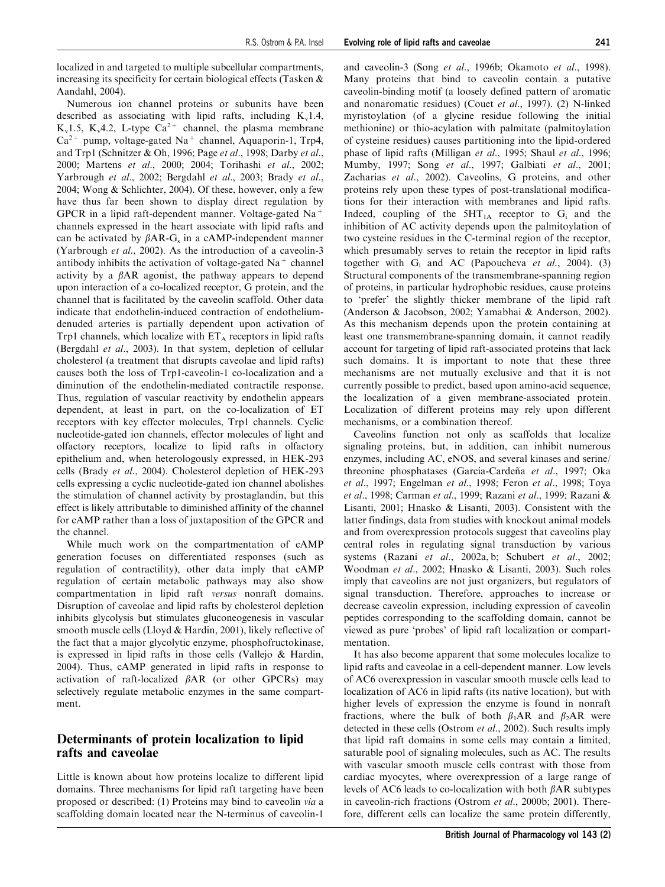localized in and targeted to multiple subcellular compartments, increasing its specificity for certain biological effects (Tasken & Aandahl, 2004).

Numerous ion channel proteins or subunits have been described as associating with lipid rafts, including  $K_v$ 1.4, K<sub>v</sub>1.5, K<sub>v</sub>4.2, L-type Ca<sup>2+</sup> channel, the plasma membrane  $Ca^{2+}$  pump, voltage-gated Na<sup>+</sup> channel, Aquaporin-1, Trp4, and Trp1 (Schnitzer & Oh, 1996; Page et al., 1998; Darby et al., 2000; Martens et al., 2000; 2004; Torihashi et al., 2002; Yarbrough et al., 2002; Bergdahl et al., 2003; Brady et al., 2004; Wong & Schlichter, 2004). Of these, however, only a few have thus far been shown to display direct regulation by GPCR in a lipid raft-dependent manner. Voltage-gated Na<sup>+</sup> channels expressed in the heart associate with lipid rafts and can be activated by  $\beta$ AR-G<sub>s</sub> in a cAMP-independent manner (Yarbrough et al., 2002). As the introduction of a caveolin-3 antibody inhibits the activation of voltage-gated  $Na<sup>+</sup>$  channel activity by a  $\beta$ AR agonist, the pathway appears to depend upon interaction of a co-localized receptor, G protein, and the channel that is facilitated by the caveolin scaffold. Other data indicate that endothelin-induced contraction of endotheliumdenuded arteries is partially dependent upon activation of Trp1 channels, which localize with  $ET_A$  receptors in lipid rafts (Bergdahl et al., 2003). In that system, depletion of cellular cholesterol (a treatment that disrupts caveolae and lipid rafts) causes both the loss of Trp1-caveolin-1 co-localization and a diminution of the endothelin-mediated contractile response. Thus, regulation of vascular reactivity by endothelin appears dependent, at least in part, on the co-localization of ET receptors with key effector molecules, Trp1 channels. Cyclic nucleotide-gated ion channels, effector molecules of light and olfactory receptors, localize to lipid rafts in olfactory epithelium and, when heterologously expressed, in HEK-293 cells (Brady et al., 2004). Cholesterol depletion of HEK-293 cells expressing a cyclic nucleotide-gated ion channel abolishes the stimulation of channel activity by prostaglandin, but this effect is likely attributable to diminished affinity of the channel for cAMP rather than a loss of juxtaposition of the GPCR and the channel.

While much work on the compartmentation of cAMP generation focuses on differentiated responses (such as regulation of contractility), other data imply that cAMP regulation of certain metabolic pathways may also show compartmentation in lipid raft versus nonraft domains. Disruption of caveolae and lipid rafts by cholesterol depletion inhibits glycolysis but stimulates gluconeogenesis in vascular smooth muscle cells (Lloyd & Hardin, 2001), likely reflective of the fact that a major glycolytic enzyme, phosphofructokinase, is expressed in lipid rafts in those cells (Vallejo & Hardin, 2004). Thus, cAMP generated in lipid rafts in response to activation of raft-localized  $\beta AR$  (or other GPCRs) may selectively regulate metabolic enzymes in the same compartment.

#### Determinants of protein localization to lipid rafts and caveolae

Little is known about how proteins localize to different lipid domains. Three mechanisms for lipid raft targeting have been proposed or described: (1) Proteins may bind to caveolin via a scaffolding domain located near the N-terminus of caveolin-1 and caveolin-3 (Song et al., 1996b; Okamoto et al., 1998). Many proteins that bind to caveolin contain a putative caveolin-binding motif (a loosely defined pattern of aromatic and nonaromatic residues) (Couet et al., 1997). (2) N-linked myristoylation (of a glycine residue following the initial methionine) or thio-acylation with palmitate (palmitoylation of cysteine residues) causes partitioning into the lipid-ordered phase of lipid rafts (Milligan et al., 1995; Shaul et al., 1996; Mumby, 1997; Song et al., 1997; Galbiati et al., 2001; Zacharias et al., 2002). Caveolins, G proteins, and other proteins rely upon these types of post-translational modifications for their interaction with membranes and lipid rafts. Indeed, coupling of the  $5HT_{1A}$  receptor to  $G_i$  and the inhibition of AC activity depends upon the palmitoylation of two cysteine residues in the C-terminal region of the receptor, which presumably serves to retain the receptor in lipid rafts together with  $G_i$  and AC (Papoucheva *et al.*, 2004). (3) Structural components of the transmembrane-spanning region of proteins, in particular hydrophobic residues, cause proteins to 'prefer' the slightly thicker membrane of the lipid raft (Anderson & Jacobson, 2002; Yamabhai & Anderson, 2002). As this mechanism depends upon the protein containing at least one transmembrane-spanning domain, it cannot readily account for targeting of lipid raft-associated proteins that lack such domains. It is important to note that these three mechanisms are not mutually exclusive and that it is not currently possible to predict, based upon amino-acid sequence, the localization of a given membrane-associated protein. Localization of different proteins may rely upon different mechanisms, or a combination thereof.

Caveolins function not only as scaffolds that localize signaling proteins, but, in addition, can inhibit numerous enzymes, including AC, eNOS, and several kinases and serine/ threonine phosphatases (García-Cardeña et al., 1997; Oka et al., 1997; Engelman et al., 1998; Feron et al., 1998; Toya et al., 1998; Carman et al., 1999; Razani et al., 1999; Razani & Lisanti, 2001; Hnasko & Lisanti, 2003). Consistent with the latter findings, data from studies with knockout animal models and from overexpression protocols suggest that caveolins play central roles in regulating signal transduction by various systems (Razani et al., 2002a, b; Schubert et al., 2002; Woodman et al., 2002; Hnasko & Lisanti, 2003). Such roles imply that caveolins are not just organizers, but regulators of signal transduction. Therefore, approaches to increase or decrease caveolin expression, including expression of caveolin peptides corresponding to the scaffolding domain, cannot be viewed as pure 'probes' of lipid raft localization or compartmentation.

It has also become apparent that some molecules localize to lipid rafts and caveolae in a cell-dependent manner. Low levels of AC6 overexpression in vascular smooth muscle cells lead to localization of AC6 in lipid rafts (its native location), but with higher levels of expression the enzyme is found in nonraft fractions, where the bulk of both  $\beta_1 AR$  and  $\beta_2 AR$  were detected in these cells (Ostrom et al., 2002). Such results imply that lipid raft domains in some cells may contain a limited, saturable pool of signaling molecules, such as AC. The results with vascular smooth muscle cells contrast with those from cardiac myocytes, where overexpression of a large range of levels of AC6 leads to co-localization with both  $\beta$ AR subtypes in caveolin-rich fractions (Ostrom et al., 2000b; 2001). Therefore, different cells can localize the same protein differently,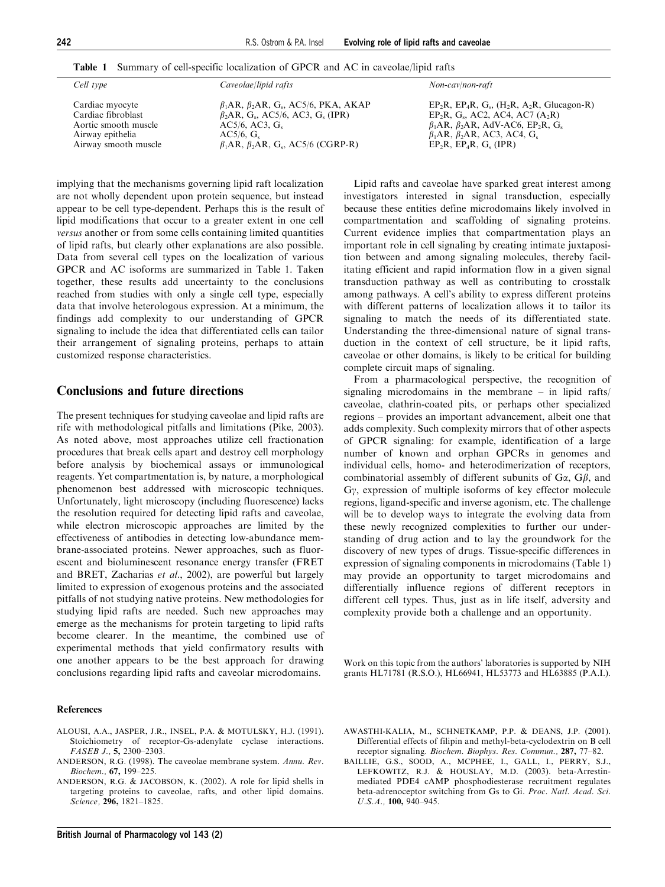|  | Table 1 Summary of cell-specific localization of GPCR and AC in caveolae/lipid rafts |  |  |  |  |  |  |  |  |  |
|--|--------------------------------------------------------------------------------------|--|--|--|--|--|--|--|--|--|
|--|--------------------------------------------------------------------------------------|--|--|--|--|--|--|--|--|--|

| Cell type            | Caveolae/lipid rafts                                            | $Non-cav/non-raft$                                                     |
|----------------------|-----------------------------------------------------------------|------------------------------------------------------------------------|
| Cardiac myocyte      | $\beta_1AR$ , $\beta_2AR$ , $G_s$ , AC5/6, PKA, AKAP            | $EP_2R$ , $EP_4R$ , $G_s$ , $(H_2R, A_2R, Glucagon-R)$                 |
| Cardiac fibroblast   | $\beta_2AR$ , G <sub>s</sub> , AC5/6, AC3, G <sub>s</sub> (IPR) | $EP_2R$ , G <sub>s</sub> , AC2, AC4, AC7 $(A_2R)$                      |
| Aortic smooth muscle | $AC5/6$ , $AC3$ , $G_s$                                         | $\beta_1AR$ , $\beta_2AR$ , AdV-AC6, EP <sub>2</sub> R, G <sub>s</sub> |
| Airway epithelia     | $AC5/6$ , $G_s$                                                 | $\beta_1AR$ , $\beta_2AR$ , AC3, AC4, G <sub>s</sub>                   |
| Airway smooth muscle | $\beta_1AR$ , $\beta_2AR$ , $G_s$ , AC5/6 (CGRP-R)              | $EP_2R$ , $EP_4R$ , $G_5$ (IPR)                                        |

implying that the mechanisms governing lipid raft localization are not wholly dependent upon protein sequence, but instead appear to be cell type-dependent. Perhaps this is the result of lipid modifications that occur to a greater extent in one cell versus another or from some cells containing limited quantities of lipid rafts, but clearly other explanations are also possible. Data from several cell types on the localization of various GPCR and AC isoforms are summarized in Table 1. Taken together, these results add uncertainty to the conclusions reached from studies with only a single cell type, especially data that involve heterologous expression. At a minimum, the findings add complexity to our understanding of GPCR signaling to include the idea that differentiated cells can tailor their arrangement of signaling proteins, perhaps to attain customized response characteristics.

#### Conclusions and future directions

The present techniques for studying caveolae and lipid rafts are rife with methodological pitfalls and limitations (Pike, 2003). As noted above, most approaches utilize cell fractionation procedures that break cells apart and destroy cell morphology before analysis by biochemical assays or immunological reagents. Yet compartmentation is, by nature, a morphological phenomenon best addressed with microscopic techniques. Unfortunately, light microscopy (including fluorescence) lacks the resolution required for detecting lipid rafts and caveolae, while electron microscopic approaches are limited by the effectiveness of antibodies in detecting low-abundance membrane-associated proteins. Newer approaches, such as fluorescent and bioluminescent resonance energy transfer (FRET and BRET, Zacharias et al., 2002), are powerful but largely limited to expression of exogenous proteins and the associated pitfalls of not studying native proteins. New methodologies for studying lipid rafts are needed. Such new approaches may emerge as the mechanisms for protein targeting to lipid rafts become clearer. In the meantime, the combined use of experimental methods that yield confirmatory results with one another appears to be the best approach for drawing conclusions regarding lipid rafts and caveolar microdomains.

#### References

- ALOUSI, A.A., JASPER, J.R., INSEL, P.A. & MOTULSKY, H.J. (1991). Stoichiometry of receptor-Gs-adenylate cyclase interactions. FASEB J., 5, 2300–2303.
- ANDERSON, R.G. (1998). The caveolae membrane system. Annu. Rev. Biochem., 67, 199–225.
- ANDERSON, R.G. & JACOBSON, K. (2002). A role for lipid shells in targeting proteins to caveolae, rafts, and other lipid domains. Science, 296, 1821–1825.

Lipid rafts and caveolae have sparked great interest among investigators interested in signal transduction, especially because these entities define microdomains likely involved in compartmentation and scaffolding of signaling proteins. Current evidence implies that compartmentation plays an important role in cell signaling by creating intimate juxtaposition between and among signaling molecules, thereby facilitating efficient and rapid information flow in a given signal transduction pathway as well as contributing to crosstalk among pathways. A cell's ability to express different proteins with different patterns of localization allows it to tailor its signaling to match the needs of its differentiated state. Understanding the three-dimensional nature of signal transduction in the context of cell structure, be it lipid rafts, caveolae or other domains, is likely to be critical for building complete circuit maps of signaling.

From a pharmacological perspective, the recognition of signaling microdomains in the membrane – in lipid rafts/ caveolae, clathrin-coated pits, or perhaps other specialized regions – provides an important advancement, albeit one that adds complexity. Such complexity mirrors that of other aspects of GPCR signaling: for example, identification of a large number of known and orphan GPCRs in genomes and individual cells, homo- and heterodimerization of receptors, combinatorial assembly of different subunits of  $G\alpha$ ,  $G\beta$ , and  $G_{\gamma}$ , expression of multiple isoforms of key effector molecule regions, ligand-specific and inverse agonism, etc. The challenge will be to develop ways to integrate the evolving data from these newly recognized complexities to further our understanding of drug action and to lay the groundwork for the discovery of new types of drugs. Tissue-specific differences in expression of signaling components in microdomains (Table 1) may provide an opportunity to target microdomains and differentially influence regions of different receptors in different cell types. Thus, just as in life itself, adversity and complexity provide both a challenge and an opportunity.

Work on this topic from the authors' laboratories is supported by NIH grants HL71781 (R.S.O.), HL66941, HL53773 and HL63885 (P.A.I.).

- AWASTHI-KALIA, M., SCHNETKAMP, P.P. & DEANS, J.P. (2001). Differential effects of filipin and methyl-beta-cyclodextrin on B cell receptor signaling. Biochem. Biophys. Res. Commun., 287, 77–82.
- BAILLIE, G.S., SOOD, A., MCPHEE, I., GALL, I., PERRY, S.J., LEFKOWITZ, R.J. & HOUSLAY, M.D. (2003). beta-Arrestinmediated PDE4 cAMP phosphodiesterase recruitment regulates beta-adrenoceptor switching from Gs to Gi. Proc. Natl. Acad. Sci. U.S.A., 100, 940–945.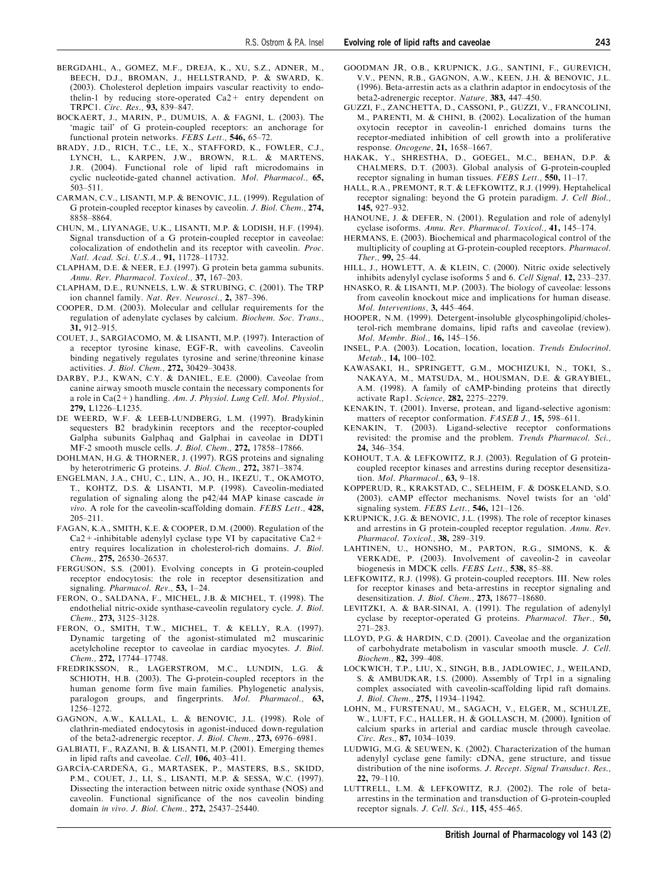- BERGDAHL, A., GOMEZ, M.F., DREJA, K., XU, S.Z., ADNER, M., BEECH, D.J., BROMAN, J., HELLSTRAND, P. & SWARD, K. (2003). Cholesterol depletion impairs vascular reactivity to endothelin-1 by reducing store-operated Ca2+ entry dependent on TRPC1. Circ. Res., 93, 839–847.
- BOCKAERT, J., MARIN, P., DUMUIS, A. & FAGNI, L. (2003). The 'magic tail' of G protein-coupled receptors: an anchorage for functional protein networks. FEBS Lett., 546, 65-72.
- BRADY, J.D., RICH, T.C., LE, X., STAFFORD, K., FOWLER, C.J., LYNCH, L., KARPEN, J.W., BROWN, R.L. & MARTENS, J.R. (2004). Functional role of lipid raft microdomains in cyclic nucleotide-gated channel activation. Mol. Pharmacol., 65, 503–511.
- CARMAN, C.V., LISANTI, M.P. & BENOVIC, J.L. (1999). Regulation of G protein-coupled receptor kinases by caveolin. J. Biol. Chem., 274, 8858–8864.
- CHUN, M., LIYANAGE, U.K., LISANTI, M.P. & LODISH, H.F. (1994). Signal transduction of a G protein-coupled receptor in caveolae: colocalization of endothelin and its receptor with caveolin. Proc. Natl. Acad. Sci. U.S.A., 91, 11728–11732.
- CLAPHAM, D.E. & NEER, E.J. (1997). G protein beta gamma subunits. Annu. Rev. Pharmacol. Toxicol., 37, 167–203.
- CLAPHAM, D.E., RUNNELS, L.W. & STRUBING, C. (2001). The TRP ion channel family. Nat. Rev. Neurosci., 2, 387–396.
- COOPER, D.M. (2003). Molecular and cellular requirements for the regulation of adenylate cyclases by calcium. Biochem. Soc. Trans., 31, 912–915.
- COUET, J., SARGIACOMO, M. & LISANTI, M.P. (1997). Interaction of a receptor tyrosine kinase, EGF-R, with caveolins. Caveolin binding negatively regulates tyrosine and serine/threonine kinase activities. J. Biol. Chem., 272, 30429–30438.
- DARBY, P.J., KWAN, C.Y. & DANIEL, E.E. (2000). Caveolae from canine airway smooth muscle contain the necessary components for a role in  $Ca(2+)$  handling. Am. J. Physiol. Lung Cell. Mol. Physiol., 279, L1226–L1235.
- DE WEERD, W.F. & LEEB-LUNDBERG, L.M. (1997). Bradykinin sequesters B2 bradykinin receptors and the receptor-coupled Galpha subunits Galphaq and Galphai in caveolae in DDT1 MF-2 smooth muscle cells. J. Biol. Chem., 272, 17858–17866.
- DOHLMAN, H.G. & THORNER, J. (1997). RGS proteins and signaling by heterotrimeric G proteins. J. Biol. Chem., 272, 3871–3874.
- ENGELMAN, J.A., CHU, C., LIN, A., JO, H., IKEZU, T., OKAMOTO, T., KOHTZ, D.S. & LISANTI, M.P. (1998). Caveolin-mediated regulation of signaling along the p42/44 MAP kinase cascade in vivo. A role for the caveolin-scaffolding domain. FEBS Lett., 428, 205–211.
- FAGAN, K.A., SMITH, K.E. & COOPER, D.M. (2000). Regulation of the  $Ca2+$ -inhibitable adenylyl cyclase type VI by capacitative  $Ca2+$ entry requires localization in cholesterol-rich domains. J. Biol. Chem., 275, 26530–26537.
- FERGUSON, S.S. (2001). Evolving concepts in G protein-coupled receptor endocytosis: the role in receptor desensitization and signaling. *Pharmacol. Rev.*, 53, 1-24.
- FERON, O., SALDANA, F., MICHEL, J.B. & MICHEL, T. (1998). The endothelial nitric-oxide synthase-caveolin regulatory cycle. J. Biol. Chem., 273, 3125–3128.
- FERON, O., SMITH, T.W., MICHEL, T. & KELLY, R.A. (1997). Dynamic targeting of the agonist-stimulated m2 muscarinic acetylcholine receptor to caveolae in cardiac myocytes. J. Biol. Chem., 272, 17744–17748.
- FREDRIKSSON, R., LAGERSTROM, M.C., LUNDIN, L.G. & SCHIOTH, H.B. (2003). The G-protein-coupled receptors in the human genome form five main families. Phylogenetic analysis, paralogon groups, and fingerprints. Mol. Pharmacol., 63, 1256–1272.
- GAGNON, A.W., KALLAL, L. & BENOVIC, J.L. (1998). Role of clathrin-mediated endocytosis in agonist-induced down-regulation of the beta2-adrenergic receptor. J. Biol. Chem., 273, 6976–6981.
- GALBIATI, F., RAZANI, B. & LISANTI, M.P. (2001). Emerging themes in lipid rafts and caveolae. Cell, 106, 403–411.
- GARCI´ A-CARDEN˜A, G., MARTASEK, P., MASTERS, B.S., SKIDD, P.M., COUET, J., LI, S., LISANTI, M.P. & SESSA, W.C. (1997). Dissecting the interaction between nitric oxide synthase (NOS) and caveolin. Functional significance of the nos caveolin binding domain in vivo. J. Biol. Chem., 272, 25437–25440.
- GOODMAN JR, O.B., KRUPNICK, J.G., SANTINI, F., GUREVICH, V.V., PENN, R.B., GAGNON, A.W., KEEN, J.H. & BENOVIC, J.L. (1996). Beta-arrestin acts as a clathrin adaptor in endocytosis of the beta2-adrenergic receptor. Nature, 383, 447–450.
- GUZZI, F., ZANCHETTA, D., CASSONI, P., GUZZI, V., FRANCOLINI, M., PARENTI, M. & CHINI, B. (2002). Localization of the human oxytocin receptor in caveolin-1 enriched domains turns the receptor-mediated inhibition of cell growth into a proliferative response. Oncogene, 21, 1658–1667.
- HAKAK, Y., SHRESTHA, D., GOEGEL, M.C., BEHAN, D.P. & CHALMERS, D.T. (2003). Global analysis of G-protein-coupled receptor signaling in human tissues. FEBS Lett., 550, 11–17.
- HALL, R.A., PREMONT, R.T. & LEFKOWITZ, R.J. (1999). Heptahelical receptor signaling: beyond the G protein paradigm. J. Cell Biol., 145, 927–932.
- HANOUNE, J. & DEFER, N. (2001). Regulation and role of adenylyl cyclase isoforms. Annu. Rev. Pharmacol. Toxicol., 41, 145–174.
- HERMANS, E. (2003). Biochemical and pharmacological control of the multiplicity of coupling at G-protein-coupled receptors. Pharmacol. Ther., 99, 25–44.
- HILL, J., HOWLETT, A. & KLEIN, C. (2000). Nitric oxide selectively inhibits adenylyl cyclase isoforms 5 and 6. Cell Signal, 12, 233–237.
- HNASKO, R. & LISANTI, M.P. (2003). The biology of caveolae: lessons from caveolin knockout mice and implications for human disease. Mol. Interventions, 3, 445–464.
- HOOPER, N.M. (1999). Detergent-insoluble glycosphingolipid/cholesterol-rich membrane domains, lipid rafts and caveolae (review). Mol. Membr. Biol., 16, 145–156.
- INSEL, P.A. (2003). Location, location, location. Trends Endocrinol. Metab., 14, 100–102.
- KAWASAKI, H., SPRINGETT, G.M., MOCHIZUKI, N., TOKI, S., NAKAYA, M., MATSUDA, M., HOUSMAN, D.E. & GRAYBIEL, A.M. (1998). A family of cAMP-binding proteins that directly activate Rap1. Science, 282, 2275–2279.
- KENAKIN, T. (2001). Inverse, protean, and ligand-selective agonism: matters of receptor conformation. FASEB J., 15, 598–611.
- KENAKIN, T. (2003). Ligand-selective receptor conformations revisited: the promise and the problem. Trends Pharmacol. Sci., 24, 346–354.
- KOHOUT, T.A. & LEFKOWITZ, R.J. (2003). Regulation of G proteincoupled receptor kinases and arrestins during receptor desensitization. Mol. Pharmacol., 63, 9–18.
- KOPPERUD, R., KRAKSTAD, C., SELHEIM, F. & DOSKELAND, S.O. (2003). cAMP effector mechanisms. Novel twists for an 'old' signaling system. FEBS Lett., 546, 121-126.
- KRUPNICK, J.G. & BENOVIC, J.L. (1998). The role of receptor kinases and arrestins in G protein-coupled receptor regulation. Annu. Rev. Pharmacol. Toxicol., 38, 289-319.
- LAHTINEN, U., HONSHO, M., PARTON, R.G., SIMONS, K. & VERKADE, P. (2003). Involvement of caveolin-2 in caveolar biogenesis in MDCK cells. FEBS Lett., 538, 85–88.
- LEFKOWITZ, R.J. (1998). G protein-coupled receptors. III. New roles for receptor kinases and beta-arrestins in receptor signaling and desensitization. J. Biol. Chem., 273, 18677–18680.
- LEVITZKI, A. & BAR-SINAI, A. (1991). The regulation of adenylyl cyclase by receptor-operated G proteins. Pharmacol. Ther., 50, 271–283.
- LLOYD, P.G. & HARDIN, C.D. (2001). Caveolae and the organization of carbohydrate metabolism in vascular smooth muscle. J. Cell. Biochem., 82, 399–408.
- LOCKWICH, T.P., LIU, X., SINGH, B.B., JADLOWIEC, J., WEILAND, S. & AMBUDKAR, I.S. (2000). Assembly of Trp1 in a signaling complex associated with caveolin-scaffolding lipid raft domains. J. Biol. Chem., 275, 11934–11942.
- LOHN, M., FURSTENAU, M., SAGACH, V., ELGER, M., SCHULZE, W., LUFT, F.C., HALLER, H. & GOLLASCH, M. (2000). Ignition of calcium sparks in arterial and cardiac muscle through caveolae. Circ. Res., 87, 1034–1039.
- LUDWIG, M.G. & SEUWEN, K. (2002). Characterization of the human adenylyl cyclase gene family: cDNA, gene structure, and tissue distribution of the nine isoforms. J. Recept. Signal Transduct. Res., 22, 79–110.
- LUTTRELL, L.M. & LEFKOWITZ, R.J. (2002). The role of betaarrestins in the termination and transduction of G-protein-coupled receptor signals. J. Cell. Sci., 115, 455-465.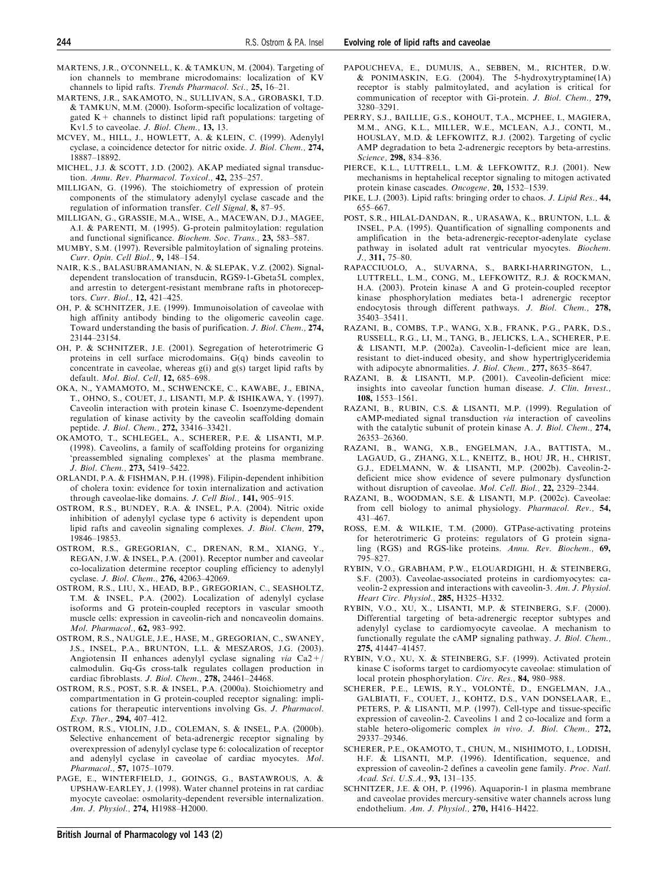- MARTENS, J.R., O'CONNELL, K. & TAMKUN, M. (2004). Targeting of ion channels to membrane microdomains: localization of KV channels to lipid rafts. Trends Pharmacol. Sci., 25, 16–21.
- MARTENS, J.R., SAKAMOTO, N., SULLIVAN, S.A., GROBASKI, T.D. & TAMKUN, M.M. (2000). Isoform-specific localization of voltagegated  $K<sup>+</sup>$  channels to distinct lipid raft populations: targeting of Kv1.5 to caveolae. J. Biol. Chem., 13, 13.
- MCVEY, M., HILL, J., HOWLETT, A. & KLEIN, C. (1999). Adenylyl cyclase, a coincidence detector for nitric oxide. J. Biol. Chem., 274, 18887–18892.
- MICHEL, J.J. & SCOTT, J.D. (2002). AKAP mediated signal transduction. Annu. Rev. Pharmacol. Toxicol., 42, 235–257.
- MILLIGAN, G. (1996). The stoichiometry of expression of protein components of the stimulatory adenylyl cyclase cascade and the regulation of information transfer. Cell Signal, 8, 87–95.
- MILLIGAN, G., GRASSIE, M.A., WISE, A., MACEWAN, D.J., MAGEE, A.I. & PARENTI, M. (1995). G-protein palmitoylation: regulation and functional significance. Biochem. Soc. Trans., 23, 583–587.
- MUMBY, S.M. (1997). Reversible palmitoylation of signaling proteins. Curr. Opin. Cell Biol., 9, 148–154.
- NAIR, K.S., BALASUBRAMANIAN, N. & SLEPAK, V.Z. (2002). Signaldependent translocation of transducin, RGS9-1-Gbeta5L complex, and arrestin to detergent-resistant membrane rafts in photoreceptors. Curr. Biol., 12, 421–425.
- OH, P. & SCHNITZER, J.E. (1999). Immunoisolation of caveolae with high affinity antibody binding to the oligomeric caveolin cage. Toward understanding the basis of purification. J. Biol. Chem., 274, 23144–23154.
- OH, P. & SCHNITZER, J.E. (2001). Segregation of heterotrimeric G proteins in cell surface microdomains. G(q) binds caveolin to concentrate in caveolae, whereas  $g(i)$  and  $g(s)$  target lipid rafts by default. Mol. Biol. Cell, 12, 685–698.
- OKA, N., YAMAMOTO, M., SCHWENCKE, C., KAWABE, J., EBINA, T., OHNO, S., COUET, J., LISANTI, M.P. & ISHIKAWA, Y. (1997). Caveolin interaction with protein kinase C. Isoenzyme-dependent regulation of kinase activity by the caveolin scaffolding domain peptide. J. Biol. Chem., 272, 33416–33421.
- OKAMOTO, T., SCHLEGEL, A., SCHERER, P.E. & LISANTI, M.P. (1998). Caveolins, a family of scaffolding proteins for organizing 'preassembled signaling complexes' at the plasma membrane. J. Biol. Chem., 273, 5419–5422.
- ORLANDI, P.A. & FISHMAN, P.H. (1998). Filipin-dependent inhibition of cholera toxin: evidence for toxin internalization and activation through caveolae-like domains. J. Cell Biol., 141, 905–915.
- OSTROM, R.S., BUNDEY, R.A. & INSEL, P.A. (2004). Nitric oxide inhibition of adenylyl cyclase type 6 activity is dependent upon lipid rafts and caveolin signaling complexes. J. Biol. Chem, 279, 19846–19853.
- OSTROM, R.S., GREGORIAN, C., DRENAN, R.M., XIANG, Y., REGAN, J.W. & INSEL, P.A. (2001). Receptor number and caveolar co-localization determine receptor coupling efficiency to adenylyl cyclase. J. Biol. Chem., 276, 42063–42069.
- OSTROM, R.S., LIU, X., HEAD, B.P., GREGORIAN, C., SEASHOLTZ, T.M. & INSEL, P.A. (2002). Localization of adenylyl cyclase isoforms and G protein-coupled receptors in vascular smooth muscle cells: expression in caveolin-rich and noncaveolin domains. Mol. Pharmacol., 62, 983–992.
- OSTROM, R.S., NAUGLE, J.E., HASE, M., GREGORIAN, C., SWANEY, J.S., INSEL, P.A., BRUNTON, L.L. & MESZAROS, J.G. (2003). Angiotensin II enhances adenylyl cyclase signaling via Ca2+/ calmodulin. Gq-Gs cross-talk regulates collagen production in cardiac fibroblasts. J. Biol. Chem., 278, 24461–24468.
- OSTROM, R.S., POST, S.R. & INSEL, P.A. (2000a). Stoichiometry and compartmentation in G protein-coupled receptor signaling: implications for therapeutic interventions involving Gs. J. Pharmacol. Exp. Ther., 294, 407–412.
- OSTROM, R.S., VIOLIN, J.D., COLEMAN, S. & INSEL, P.A. (2000b). Selective enhancement of beta-adrenergic receptor signaling by overexpression of adenylyl cyclase type 6: colocalization of receptor and adenylyl cyclase in caveolae of cardiac myocytes. Mol. Pharmacol., 57, 1075–1079.
- PAGE, E., WINTERFIELD, J., GOINGS, G., BASTAWROUS, A. & UPSHAW-EARLEY, J. (1998). Water channel proteins in rat cardiac myocyte caveolae: osmolarity-dependent reversible internalization. Am. J. Physiol., 274, H1988–H2000.
- PAPOUCHEVA, E., DUMUIS, A., SEBBEN, M., RICHTER, D.W. & PONIMASKIN, E.G. (2004). The 5-hydroxytryptamine(1A) receptor is stably palmitoylated, and acylation is critical for communication of receptor with Gi-protein. J. Biol. Chem., 279, 3280–3291.
- PERRY, S.J., BAILLIE, G.S., KOHOUT, T.A., MCPHEE, I., MAGIERA, M.M., ANG, K.L., MILLER, W.E., MCLEAN, A.J., CONTI, M., HOUSLAY, M.D. & LEFKOWITZ, R.J. (2002). Targeting of cyclic AMP degradation to beta 2-adrenergic receptors by beta-arrestins. Science, 298, 834–836.
- PIERCE, K.L., LUTTRELL, L.M. & LEFKOWITZ, R.J. (2001). New mechanisms in heptahelical receptor signaling to mitogen activated protein kinase cascades. Oncogene, 20, 1532–1539.
- PIKE, L.J. (2003). Lipid rafts: bringing order to chaos. J. Lipid Res., 44, 655–667.
- POST, S.R., HILAL-DANDAN, R., URASAWA, K., BRUNTON, L.L. & INSEL, P.A. (1995). Quantification of signalling components and amplification in the beta-adrenergic-receptor-adenylate cyclase pathway in isolated adult rat ventricular myocytes. Biochem.  $J_{\cdot}$ , 311, 75–80.
- RAPACCIUOLO, A., SUVARNA, S., BARKI-HARRINGTON, L., LUTTRELL, L.M., CONG, M., LEFKOWITZ, R.J. & ROCKMAN, H.A. (2003). Protein kinase A and G protein-coupled receptor kinase phosphorylation mediates beta-1 adrenergic receptor endocytosis through different pathways. J. Biol. Chem., 278, 35403–35411.
- RAZANI, B., COMBS, T.P., WANG, X.B., FRANK, P.G., PARK, D.S., RUSSELL, R.G., LI, M., TANG, B., JELICKS, L.A., SCHERER, P.E. & LISANTI, M.P. (2002a). Caveolin-1-deficient mice are lean, resistant to diet-induced obesity, and show hypertriglyceridemia with adipocyte abnormalities. J. Biol. Chem., 277, 8635-8647.
- RAZANI, B. & LISANTI, M.P. (2001). Caveolin-deficient mice: insights into caveolar function human disease. *J. Clin. Invest.*, 108, 1553–1561.
- RAZANI, B., RUBIN, C.S. & LISANTI, M.P. (1999). Regulation of cAMP-mediated signal transduction via interaction of caveolins with the catalytic subunit of protein kinase A. J. Biol. Chem., 274, 26353–26360.
- RAZANI, B., WANG, X.B., ENGELMAN, J.A., BATTISTA, M., LAGAUD, G., ZHANG, X.L., KNEITZ, B., HOU JR, H., CHRIST, G.J., EDELMANN, W. & LISANTI, M.P. (2002b). Caveolin-2 deficient mice show evidence of severe pulmonary dysfunction without disruption of caveolae. *Mol. Cell. Biol.*, **22,** 2329–2344.
- RAZANI, B., WOODMAN, S.E. & LISANTI, M.P. (2002c). Caveolae: from cell biology to animal physiology. Pharmacol. Rev., 54, 431–467.
- ROSS, E.M. & WILKIE, T.M. (2000). GTPase-activating proteins for heterotrimeric G proteins: regulators of G protein signaling (RGS) and RGS-like proteins. Annu. Rev. Biochem., 69, 795–827.
- RYBIN, V.O., GRABHAM, P.W., ELOUARDIGHI, H. & STEINBERG, S.F. (2003). Caveolae-associated proteins in cardiomyocytes: caveolin-2 expression and interactions with caveolin-3. Am. J. Physiol. Heart Circ. Physiol., 285, H325–H332.
- RYBIN, V.O., XU, X., LISANTI, M.P. & STEINBERG, S.F. (2000). Differential targeting of beta-adrenergic receptor subtypes and adenylyl cyclase to cardiomyocyte caveolae. A mechanism to functionally regulate the cAMP signaling pathway. J. Biol. Chem., 275, 41447–41457.
- RYBIN, V.O., XU, X. & STEINBERG, S.F. (1999). Activated protein kinase C isoforms target to cardiomyocyte caveolae: stimulation of local protein phosphorylation. Circ. Res., 84, 980–988.
- SCHERER, P.E., LEWIS, R.Y., VOLONTÉ, D., ENGELMAN, J.A., GALBIATI, F., COUET, J., KOHTZ, D.S., VAN DONSELAAR, E., PETERS, P. & LISANTI, M.P. (1997). Cell-type and tissue-specific expression of caveolin-2. Caveolins 1 and 2 co-localize and form a stable hetero-oligomeric complex in vivo. J. Biol. Chem., 272, 29337–29346.
- SCHERER, P.E., OKAMOTO, T., CHUN, M., NISHIMOTO, I., LODISH, H.F. & LISANTI, M.P. (1996). Identification, sequence, and expression of caveolin-2 defines a caveolin gene family. Proc. Natl. Acad. Sci. U.S.A., 93, 131–135.
- SCHNITZER, J.E. & OH, P. (1996). Aquaporin-1 in plasma membrane and caveolae provides mercury-sensitive water channels across lung endothelium. Am. J. Physiol., 270, H416–H422.